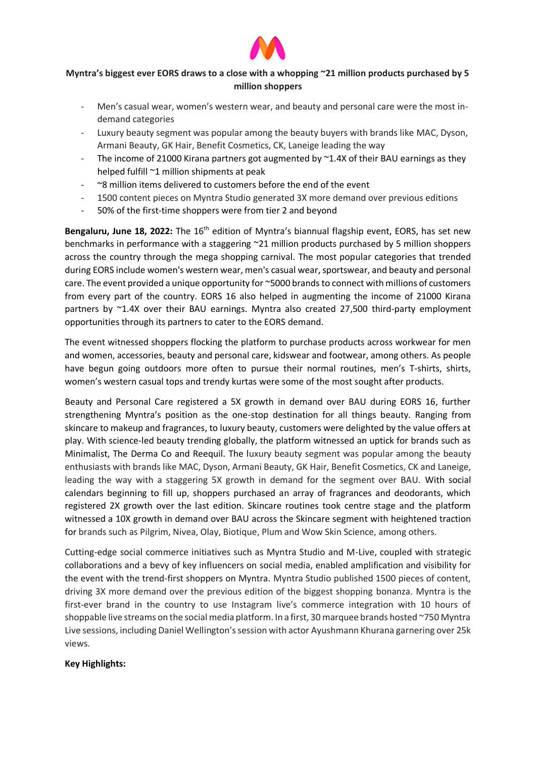

## **Myntra's biggest ever EORS draws to a close with a whopping ~21 million products purchased by 5 million shoppers**

- Men's casual wear, women's western wear, and beauty and personal care were the most indemand categories
- Luxury beauty segment was popular among the beauty buyers with brands like MAC, Dyson, Armani Beauty, GK Hair, Benefit Cosmetics, CK, Laneige leading the way
- The income of 21000 Kirana partners got augmented by  $\sim$ 1.4X of their BAU earnings as they helped fulfill ~1 million shipments at peak
- $\sim$ 8 million items delivered to customers before the end of the event
- 1500 content pieces on Myntra Studio generated 3X more demand over previous editions
- 50% of the first-time shoppers were from tier 2 and beyond

Bengaluru, June 18, 2022: The 16<sup>th</sup> edition of Myntra's biannual flagship event, EORS, has set new benchmarks in performance with a staggering ~21 million products purchased by 5 million shoppers across the country through the mega shopping carnival. The most popular categories that trended during EORS include women's western wear, men's casual wear, sportswear, and beauty and personal care. The event provided a unique opportunity for ~5000 brands to connect with millions of customers from every part of the country. EORS 16 also helped in augmenting the income of 21000 Kirana partners by ~1.4X over their BAU earnings. Myntra also created 27,500 third-party employment opportunities through its partners to cater to the EORS demand.

The event witnessed shoppers flocking the platform to purchase products across workwear for men and women, accessories, beauty and personal care, kidswear and footwear, among others. As people have begun going outdoors more often to pursue their normal routines, men's T-shirts, shirts, women's western casual tops and trendy kurtas were some of the most sought after products.

Beauty and Personal Care registered a 5X growth in demand over BAU during EORS 16, further strengthening Myntra's position as the one-stop destination for all things beauty. Ranging from skincare to makeup and fragrances, to luxury beauty, customers were delighted by the value offers at play. With science-led beauty trending globally, the platform witnessed an uptick for brands such as Minimalist, The Derma Co and Reequil. The luxury beauty segment was popular among the beauty enthusiasts with brands like MAC, Dyson, Armani Beauty, GK Hair, Benefit Cosmetics, CK and Laneige, leading the way with a staggering 5X growth in demand for the segment over BAU. With social calendars beginning to fill up, shoppers purchased an array of fragrances and deodorants, which registered 2X growth over the last edition. Skincare routines took centre stage and the platform witnessed a 10X growth in demand over BAU across the Skincare segment with heightened traction for brands such as Pilgrim, Nivea, Olay, Biotique, Plum and Wow Skin Science, among others.

Cutting-edge social commerce initiatives such as Myntra Studio and M-Live, coupled with strategic collaborations and a bevy of key influencers on social media, enabled amplification and visibility for the event with the trend-first shoppers on Myntra. Myntra Studio published 1500 pieces of content, driving 3X more demand over the previous edition of the biggest shopping bonanza. Myntra is the first-ever brand in the country to use Instagram live's commerce integration with 10 hours of shoppable live streams on the social media platform. In a first, 30 marquee brands hosted ~750 Myntra Live sessions, including Daniel Wellington's session with actor Ayushmann Khurana garnering over 25k views.

## **Key Highlights:**